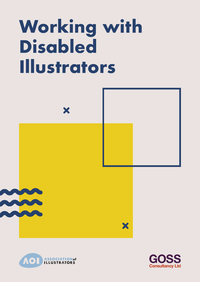# **Working with Disabled Illustrators**





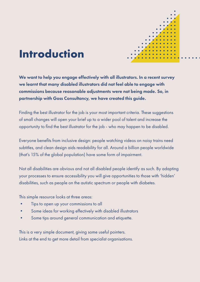

## **Introduction**

We want to help you engage effectively with all illustrators. In a recent survey we learnt that many disabled illustrators did not feel able to engage with commissions because reasonable adjustments were not being made. So, in partnership with Goss Consultancy, we have created this guide.

Finding the best illustrator for the job is your most important criteria. These suggestions of small changes will open your brief up to a wider pool of talent and increase the opportunity to find the best illustrator for the job - who may happen to be disabled.

Everyone benefits from inclusive design: people watching videos on noisy trains need subtitles, and clean design aids readability for all. Around a billion people worldwide (that's 15% of the global population) have some form of impairment.

Not all disabilities are obvious and not all disabled people identify as such. By adapting your processes to ensure accessibility you will give opportunities to those with 'hidden' disabilities, such as people on the autistic spectrum or people with diabetes.

This simple resource looks at three areas:

- Tips to open up your commissions to all
- Some ideas for working effectively with disabled illustrators
- Some tips around general communication and etiquette.

This is a very simple document, giving some useful pointers. Links at the end to get more detail from specialist organisations.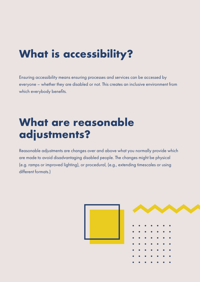# **What is accessibility?**

Ensuring accessibility means ensuring processes and services can be accessed by everyone – whether they are disabled or not. This creates an inclusive environment from which everybody benefits.

#### **What are reasonable adjustments?**

Reasonable adjustments are changes over and above what you normally provide which are made to avoid disadvantaging disabled people. The changes might be physical (e.g. ramps or improved lighting), or procedural, (e.g., extending timescales or using different formats.)

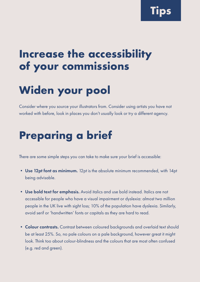**Tips**

#### **Increase the accessibility of your commissions**

# **Widen your pool**

Consider where you source your illustrators from. Consider using artists you have not worked with before, look in places you don't usually look or try a different agency.

## **Preparing a brief**

There are some simple steps you can take to make sure your brief is accessible:

- Use 12pt font as minimum. 12pt is the absolute minimum recommended, with 14pt being advisable.
- Use bold text for emphasis. Avoid italics and use bold instead. Italics are not accessible for people who have a visual impairment or dyslexia: almost two million people in the UK live with sight loss; 10% of the population have dyslexia. Similarly, avoid serif or 'handwritten' fonts or capitals as they are hard to read.
- Colour contrasts. Contrast between coloured backgrounds and overlaid text should be at least 25%. So, no pale colours on a pale background, however great it might look. Think too about colour-blindness and the colours that are most often confused (e.g. red and green).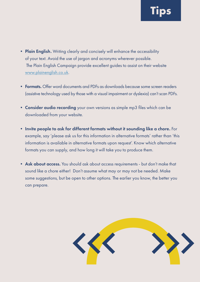- Plain English. Writing clearly and concisely will enhance the accessibility of your text. Avoid the use of jargon and acronyms wherever possible. The Plain English Campaign provide excellent guides to assist on their website [www.plainenglish.co.uk](http://www.plainenglish.co.uk).
- Formats. Offer word documents and PDFs as downloads because some screen readers (assistive technology used by those with a visual impairment or dyslexia) can't scan PDFs.
- Consider audio recording your own versions as simple mp3 files which can be downloaded from your website.
- Invite people to ask for different formats without it sounding like a chore. For example, say 'please ask us for this information in alternative formats' rather than 'this information is available in alternative formats upon request'. Know which alternative formats you can supply, and how long it will take you to produce them.
- Ask about access. You should ask about access requirements but don't make that sound like a chore either! Don't assume what may or may not be needed. Make some suggestions, but be open to other options. The earlier you know, the better you can prepare.

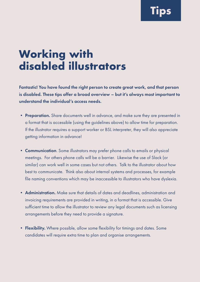**Tips**

## **Working with disabled illustrators**

Fantastic! You have found the right person to create great work, and that person is disabled. These tips offer a broad overview – but it's always most important to understand the individual's access needs.

- Preparation. Share documents well in advance, and make sure they are presented in a format that is accessible (using the guidelines above) to allow time for preparation. If the illustrator requires a support worker or BSL interpreter, they will also appreciate getting information in advance!
- Communication. Some illustrators may prefer phone calls to emails or physical meetings. For others phone calls will be a barrier. Likewise the use of Slack (or similar) can work well in some cases but not others. Talk to the illustrator about how best to communicate. Think also about internal systems and processes, for example file naming conventions which may be inaccessible to illustrators who have dyslexia.
- Administration. Make sure that details of dates and deadlines, administration and invoicing requirements are provided in writing, in a format that is accessible. Give sufficient time to allow the illustrator to review any legal documents such as licensing arrangements before they need to provide a signature.
- Flexibility. Where possible, allow some flexibility for timings and dates. Some candidates will require extra time to plan and organise arrangements.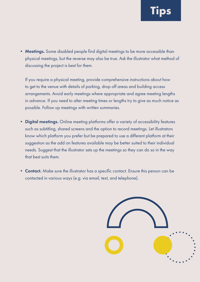• Meetings. Some disabled people find digital meetings to be more accessible than physical meetings, but the reverse may also be true. Ask the illustrator what method of discussing the project is best for them.

If you require a physical meeting, provide comprehensive instructions about how to get to the venue with details of parking, drop off areas and building access arrangements. Avoid early meetings where appropriate and agree meeting lengths in advance. If you need to alter meeting times or lengths try to give as much notice as possible. Follow up meetings with written summaries.

- Digital meetings. Online meeting platforms offer a variety of accessibility features such as subtitling, shared screens and the option to record meetings. Let illustrators know which platform you prefer but be prepared to use a different platform at their suggestion as the add on features available may be better suited to their individual needs. Suggest that the illustrator sets up the meetings so they can do so in the way that best suits them.
- Contact. Make sure the illustrator has a specific contact. Ensure this person can be contacted in various ways (e.g. via email, text, and telephone).

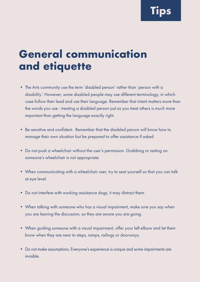**Tips**

#### **General communication and etiquette**

- The Arts community use the term 'disabled person' rather than 'person with a disability'. However, some disabled people may use different terminology, in which case follow their lead and use their language. Remember that intent matters more than the words you use - treating a disabled person just as you treat others is much more important than getting the language exactly right.
- Be sensitive and confident. Remember that the disabled person will know how to manage their own situation but be prepared to offer assistance if asked.
- Do not push a wheelchair without the user's permission. Grabbing or resting on someone's wheelchair is not appropriate.
- When communicating with a wheelchair user, try to seat yourself so that you can talk at eye level.
- Do not interfere with working assistance dogs, it may distract them.
- When talking with someone who has a visual impairment, make sure you say when you are leaving the discussion, so they are aware you are going.
- When guiding someone with a visual impairment, offer your left elbow and let them know when they are near to steps, ramps, railings or doorways.
- Do not make assumptions. Everyone's experience is unique and some impairments are invisible.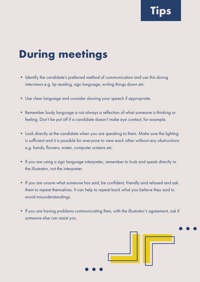# **During meetings**

- Identify the candidate's preferred method of communication and use this during interviews e.g. lip reading, sign language, writing things down etc.
- Use clear language and consider slowing your speech if appropriate.
- Remember body language is not always a reflection of what someone is thinking or feeling. Don't be put off if a candidate doesn't make eye contact, for example.
- Look directly at the candidate when you are speaking to them. Make sure the lighting is sufficient and it is possible for everyone to view each other without any obstructions e.g. hands, flowers, water, computer screens etc.
- If you are using a sign language interpreter, remember to look and speak directly to the illustrator, not the interpreter.
- If you are unsure what someone has said, be confident, friendly and relaxed and ask them to repeat themselves. It can help to repeat back what you believe they said to avoid misunderstandings.
- If you are having problems communicating then, with the illustrator's agreement, ask if someone else can assist you.